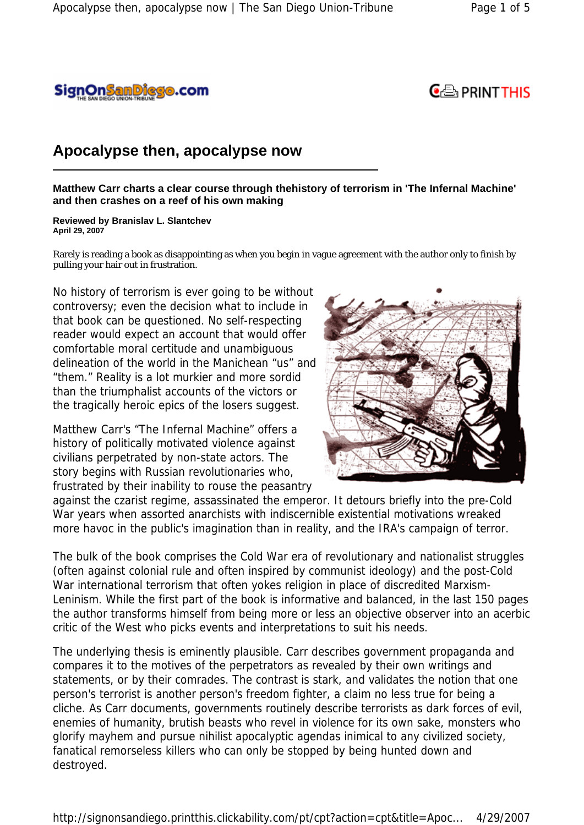



## **Apocalypse then, apocalypse now**

**Matthew Carr charts a clear course through thehistory of terrorism in 'The Infernal Machine' and then crashes on a reef of his own making** 

**Reviewed by Branislav L. Slantchev April 29, 2007**

Rarely is reading a book as disappointing as when you begin in vague agreement with the author only to finish by pulling your hair out in frustration.

No history of terrorism is ever going to be without controversy; even the decision what to include in that book can be questioned. No self-respecting reader would expect an account that would offer comfortable moral certitude and unambiguous delineation of the world in the Manichean "us" and "them." Reality is a lot murkier and more sordid than the triumphalist accounts of the victors or the tragically heroic epics of the losers suggest.

Matthew Carr's "The Infernal Machine" offers a history of politically motivated violence against civilians perpetrated by non-state actors. The story begins with Russian revolutionaries who, frustrated by their inability to rouse the peasantry



against the czarist regime, assassinated the emperor. It detours briefly into the pre-Cold War years when assorted anarchists with indiscernible existential motivations wreaked more havoc in the public's imagination than in reality, and the IRA's campaign of terror.

The bulk of the book comprises the Cold War era of revolutionary and nationalist struggles (often against colonial rule and often inspired by communist ideology) and the post-Cold War international terrorism that often yokes religion in place of discredited Marxism-Leninism. While the first part of the book is informative and balanced, in the last 150 pages the author transforms himself from being more or less an objective observer into an acerbic critic of the West who picks events and interpretations to suit his needs.

The underlying thesis is eminently plausible. Carr describes government propaganda and compares it to the motives of the perpetrators as revealed by their own writings and statements, or by their comrades. The contrast is stark, and validates the notion that one person's terrorist is another person's freedom fighter, a claim no less true for being a cliche. As Carr documents, governments routinely describe terrorists as dark forces of evil, enemies of humanity, brutish beasts who revel in violence for its own sake, monsters who glorify mayhem and pursue nihilist apocalyptic agendas inimical to any civilized society, fanatical remorseless killers who can only be stopped by being hunted down and destroyed.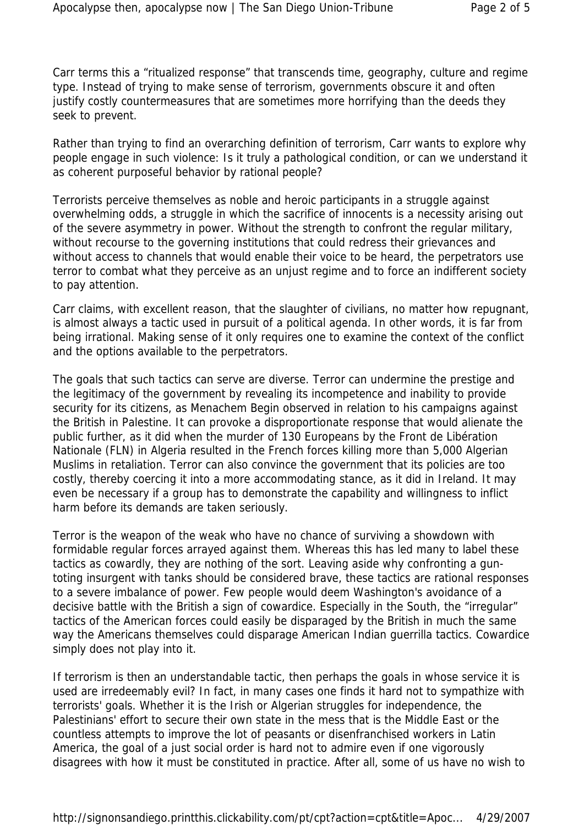Carr terms this a "ritualized response" that transcends time, geography, culture and regime type. Instead of trying to make sense of terrorism, governments obscure it and often justify costly countermeasures that are sometimes more horrifying than the deeds they seek to prevent.

Rather than trying to find an overarching definition of terrorism, Carr wants to explore why people engage in such violence: Is it truly a pathological condition, or can we understand it as coherent purposeful behavior by rational people?

Terrorists perceive themselves as noble and heroic participants in a struggle against overwhelming odds, a struggle in which the sacrifice of innocents is a necessity arising out of the severe asymmetry in power. Without the strength to confront the regular military, without recourse to the governing institutions that could redress their grievances and without access to channels that would enable their voice to be heard, the perpetrators use terror to combat what they perceive as an unjust regime and to force an indifferent society to pay attention.

Carr claims, with excellent reason, that the slaughter of civilians, no matter how repugnant, is almost always a tactic used in pursuit of a political agenda. In other words, it is far from being irrational. Making sense of it only requires one to examine the context of the conflict and the options available to the perpetrators.

The goals that such tactics can serve are diverse. Terror can undermine the prestige and the legitimacy of the government by revealing its incompetence and inability to provide security for its citizens, as Menachem Begin observed in relation to his campaigns against the British in Palestine. It can provoke a disproportionate response that would alienate the public further, as it did when the murder of 130 Europeans by the Front de Libération Nationale (FLN) in Algeria resulted in the French forces killing more than 5,000 Algerian Muslims in retaliation. Terror can also convince the government that its policies are too costly, thereby coercing it into a more accommodating stance, as it did in Ireland. It may even be necessary if a group has to demonstrate the capability and willingness to inflict harm before its demands are taken seriously.

Terror is the weapon of the weak who have no chance of surviving a showdown with formidable regular forces arrayed against them. Whereas this has led many to label these tactics as cowardly, they are nothing of the sort. Leaving aside why confronting a guntoting insurgent with tanks should be considered brave, these tactics are rational responses to a severe imbalance of power. Few people would deem Washington's avoidance of a decisive battle with the British a sign of cowardice. Especially in the South, the "irregular" tactics of the American forces could easily be disparaged by the British in much the same way the Americans themselves could disparage American Indian guerrilla tactics. Cowardice simply does not play into it.

If terrorism is then an understandable tactic, then perhaps the goals in whose service it is used are irredeemably evil? In fact, in many cases one finds it hard not to sympathize with terrorists' goals. Whether it is the Irish or Algerian struggles for independence, the Palestinians' effort to secure their own state in the mess that is the Middle East or the countless attempts to improve the lot of peasants or disenfranchised workers in Latin America, the goal of a just social order is hard not to admire even if one vigorously disagrees with how it must be constituted in practice. After all, some of us have no wish to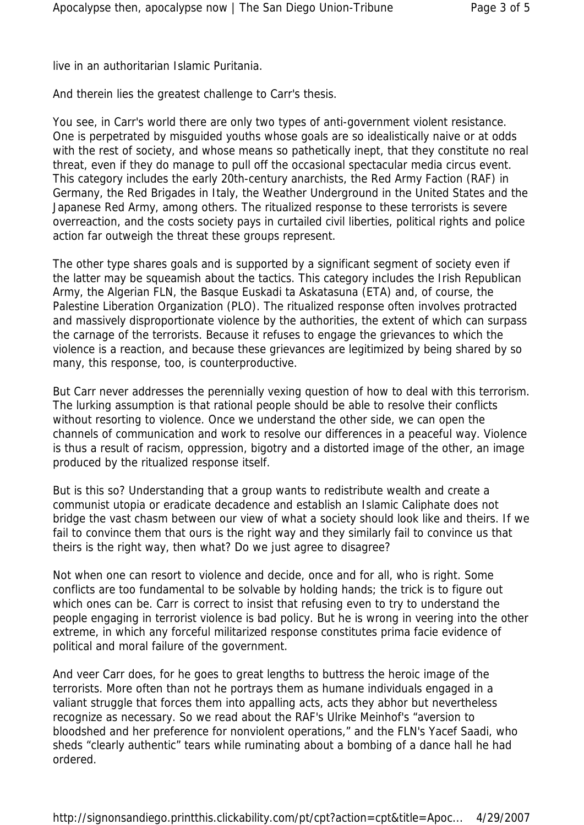live in an authoritarian Islamic Puritania.

And therein lies the greatest challenge to Carr's thesis.

You see, in Carr's world there are only two types of anti-government violent resistance. One is perpetrated by misguided youths whose goals are so idealistically naive or at odds with the rest of society, and whose means so pathetically inept, that they constitute no real threat, even if they do manage to pull off the occasional spectacular media circus event. This category includes the early 20th-century anarchists, the Red Army Faction (RAF) in Germany, the Red Brigades in Italy, the Weather Underground in the United States and the Japanese Red Army, among others. The ritualized response to these terrorists is severe overreaction, and the costs society pays in curtailed civil liberties, political rights and police action far outweigh the threat these groups represent.

The other type shares goals and is supported by a significant segment of society even if the latter may be squeamish about the tactics. This category includes the Irish Republican Army, the Algerian FLN, the Basque Euskadi ta Askatasuna (ETA) and, of course, the Palestine Liberation Organization (PLO). The ritualized response often involves protracted and massively disproportionate violence by the authorities, the extent of which can surpass the carnage of the terrorists. Because it refuses to engage the grievances to which the violence is a reaction, and because these grievances are legitimized by being shared by so many, this response, too, is counterproductive.

But Carr never addresses the perennially vexing question of how to deal with this terrorism. The lurking assumption is that rational people should be able to resolve their conflicts without resorting to violence. Once we understand the other side, we can open the channels of communication and work to resolve our differences in a peaceful way. Violence is thus a result of racism, oppression, bigotry and a distorted image of the other, an image produced by the ritualized response itself.

But is this so? Understanding that a group wants to redistribute wealth and create a communist utopia or eradicate decadence and establish an Islamic Caliphate does not bridge the vast chasm between our view of what a society should look like and theirs. If we fail to convince them that ours is the right way and they similarly fail to convince us that theirs is the right way, then what? Do we just agree to disagree?

Not when one can resort to violence and decide, once and for all, who is right. Some conflicts are too fundamental to be solvable by holding hands; the trick is to figure out which ones can be. Carr is correct to insist that refusing even to try to understand the people engaging in terrorist violence is bad policy. But he is wrong in veering into the other extreme, in which any forceful militarized response constitutes prima facie evidence of political and moral failure of the government.

And veer Carr does, for he goes to great lengths to buttress the heroic image of the terrorists. More often than not he portrays them as humane individuals engaged in a valiant struggle that forces them into appalling acts, acts they abhor but nevertheless recognize as necessary. So we read about the RAF's Ulrike Meinhof's "aversion to bloodshed and her preference for nonviolent operations," and the FLN's Yacef Saadi, who sheds "clearly authentic" tears while ruminating about a bombing of a dance hall he had ordered.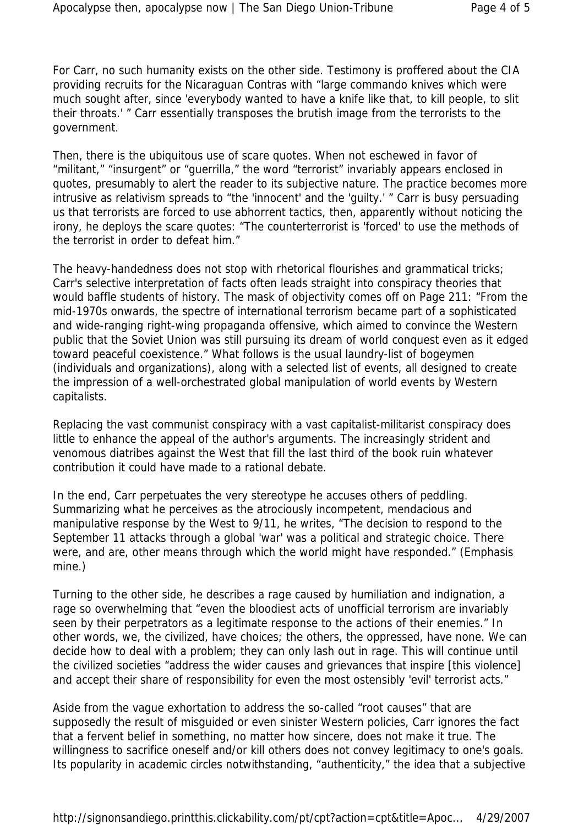For Carr, no such humanity exists on the other side. Testimony is proffered about the CIA providing recruits for the Nicaraguan Contras with "large commando knives which were much sought after, since 'everybody wanted to have a knife like that, to kill people, to slit their throats.' " Carr essentially transposes the brutish image from the terrorists to the government.

Then, there is the ubiquitous use of scare quotes. When not eschewed in favor of "militant," "insurgent" or "guerrilla," the word "terrorist" invariably appears enclosed in quotes, presumably to alert the reader to its subjective nature. The practice becomes more intrusive as relativism spreads to "the 'innocent' and the 'guilty.' " Carr is busy persuading us that terrorists are forced to use abhorrent tactics, then, apparently without noticing the irony, he deploys the scare quotes: "The counterterrorist is 'forced' to use the methods of the terrorist in order to defeat him."

The heavy-handedness does not stop with rhetorical flourishes and grammatical tricks; Carr's selective interpretation of facts often leads straight into conspiracy theories that would baffle students of history. The mask of objectivity comes off on Page 211: "From the mid-1970s onwards, the spectre of international terrorism became part of a sophisticated and wide-ranging right-wing propaganda offensive, which aimed to convince the Western public that the Soviet Union was still pursuing its dream of world conquest even as it edged toward peaceful coexistence." What follows is the usual laundry-list of bogeymen (individuals and organizations), along with a selected list of events, all designed to create the impression of a well-orchestrated global manipulation of world events by Western capitalists.

Replacing the vast communist conspiracy with a vast capitalist-militarist conspiracy does little to enhance the appeal of the author's arguments. The increasingly strident and venomous diatribes against the West that fill the last third of the book ruin whatever contribution it could have made to a rational debate.

In the end, Carr perpetuates the very stereotype he accuses others of peddling. Summarizing what he perceives as the atrociously incompetent, mendacious and manipulative response by the West to 9/11, he writes, "The decision to respond to the September 11 attacks through a global 'war' was a political and strategic choice. There were, and are, other means through which the world might have responded." (Emphasis mine.)

Turning to the other side, he describes a rage caused by humiliation and indignation, a rage so overwhelming that "even the bloodiest acts of unofficial terrorism are invariably seen by their perpetrators as a legitimate response to the actions of their enemies." In other words, we, the civilized, have choices; the others, the oppressed, have none. We can decide how to deal with a problem; they can only lash out in rage. This will continue until the civilized societies "address the wider causes and grievances that inspire [this violence] and accept their share of responsibility for even the most ostensibly 'evil' terrorist acts."

Aside from the vague exhortation to address the so-called "root causes" that are supposedly the result of misguided or even sinister Western policies, Carr ignores the fact that a fervent belief in something, no matter how sincere, does not make it true. The willingness to sacrifice oneself and/or kill others does not convey legitimacy to one's goals. Its popularity in academic circles notwithstanding, "authenticity," the idea that a subjective